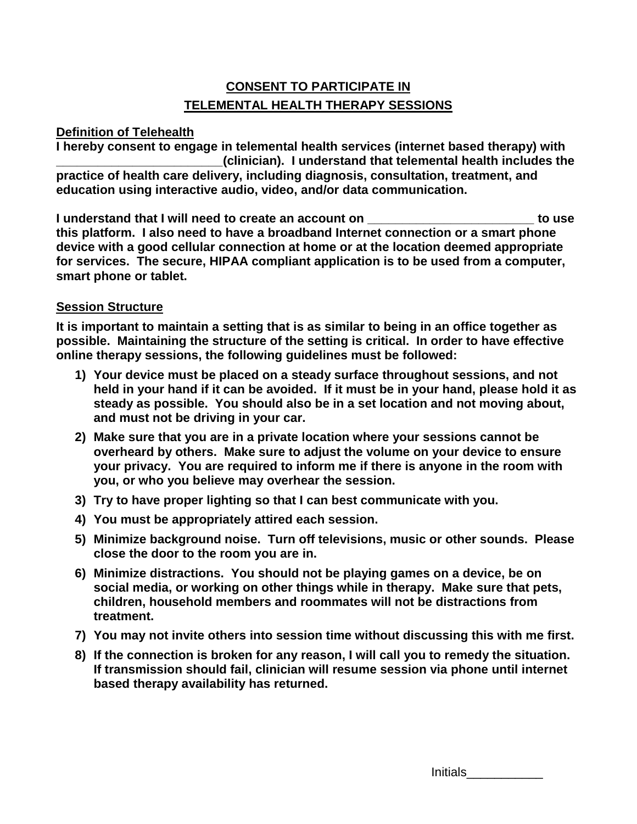# **CONSENT TO PARTICIPATE IN TELEMENTAL HEALTH THERAPY SESSIONS**

### **Definition of Telehealth**

**I hereby consent to engage in telemental health services (internet based therapy) with \_\_\_\_\_\_\_\_\_\_\_\_\_\_\_\_\_\_\_\_\_\_\_\_(clinician). I understand that telemental health includes the practice of health care delivery, including diagnosis, consultation, treatment, and education using interactive audio, video, and/or data communication.**

**I understand that I will need to create an account on \_\_\_\_\_\_\_\_\_\_\_\_\_\_\_\_\_\_\_\_\_\_\_\_ to use this platform. I also need to have a broadband Internet connection or a smart phone device with a good cellular connection at home or at the location deemed appropriate for services. The secure, HIPAA compliant application is to be used from a computer, smart phone or tablet.** 

### **Session Structure**

**It is important to maintain a setting that is as similar to being in an office together as possible. Maintaining the structure of the setting is critical. In order to have effective online therapy sessions, the following guidelines must be followed:**

- **1) Your device must be placed on a steady surface throughout sessions, and not held in your hand if it can be avoided. If it must be in your hand, please hold it as steady as possible. You should also be in a set location and not moving about, and must not be driving in your car.**
- **2) Make sure that you are in a private location where your sessions cannot be overheard by others. Make sure to adjust the volume on your device to ensure your privacy. You are required to inform me if there is anyone in the room with you, or who you believe may overhear the session.**
- **3) Try to have proper lighting so that I can best communicate with you.**
- **4) You must be appropriately attired each session.**
- **5) Minimize background noise. Turn off televisions, music or other sounds. Please close the door to the room you are in.**
- **6) Minimize distractions. You should not be playing games on a device, be on social media, or working on other things while in therapy. Make sure that pets, children, household members and roommates will not be distractions from treatment.**
- **7) You may not invite others into session time without discussing this with me first.**
- **8) If the connection is broken for any reason, I will call you to remedy the situation. If transmission should fail, clinician will resume session via phone until internet based therapy availability has returned.**

| Initials |  |  |
|----------|--|--|
|          |  |  |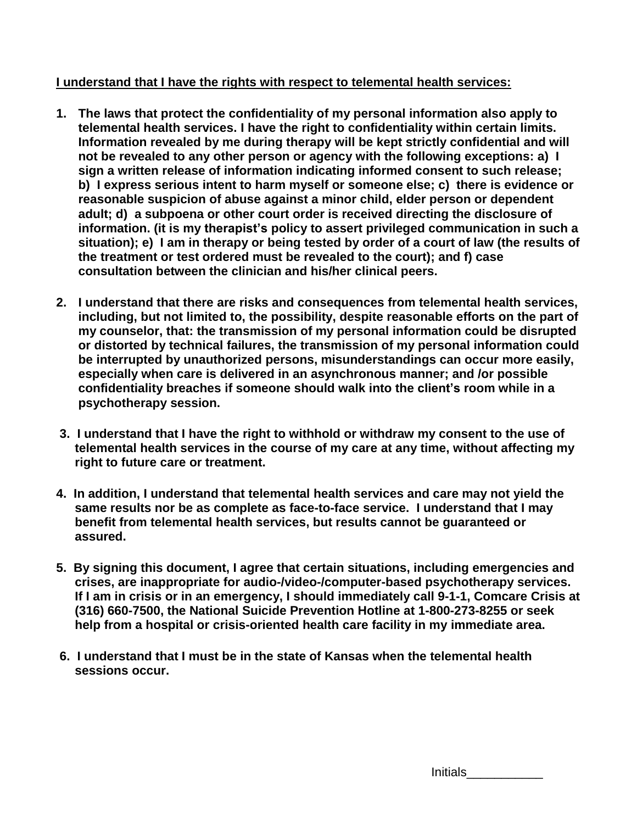## **I understand that I have the rights with respect to telemental health services:**

- **1. The laws that protect the confidentiality of my personal information also apply to telemental health services. I have the right to confidentiality within certain limits. Information revealed by me during therapy will be kept strictly confidential and will not be revealed to any other person or agency with the following exceptions: a) I sign a written release of information indicating informed consent to such release; b) I express serious intent to harm myself or someone else; c) there is evidence or reasonable suspicion of abuse against a minor child, elder person or dependent adult; d) a subpoena or other court order is received directing the disclosure of information. (it is my therapist's policy to assert privileged communication in such a situation); e) I am in therapy or being tested by order of a court of law (the results of the treatment or test ordered must be revealed to the court); and f) case consultation between the clinician and his/her clinical peers.**
- **2. I understand that there are risks and consequences from telemental health services, including, but not limited to, the possibility, despite reasonable efforts on the part of my counselor, that: the transmission of my personal information could be disrupted or distorted by technical failures, the transmission of my personal information could be interrupted by unauthorized persons, misunderstandings can occur more easily, especially when care is delivered in an asynchronous manner; and /or possible confidentiality breaches if someone should walk into the client's room while in a psychotherapy session.**
- **3. I understand that I have the right to withhold or withdraw my consent to the use of telemental health services in the course of my care at any time, without affecting my right to future care or treatment.**
- **4. In addition, I understand that telemental health services and care may not yield the same results nor be as complete as face-to-face service. I understand that I may benefit from telemental health services, but results cannot be guaranteed or assured.**
- **5. By signing this document, I agree that certain situations, including emergencies and crises, are inappropriate for audio-/video-/computer-based psychotherapy services. If I am in crisis or in an emergency, I should immediately call 9-1-1, Comcare Crisis at (316) 660-7500, the National Suicide Prevention Hotline at 1-800-273-8255 or seek help from a hospital or crisis-oriented health care facility in my immediate area.**
- **6. I understand that I must be in the state of Kansas when the telemental health sessions occur.**

| Initials |  |  |
|----------|--|--|
|          |  |  |